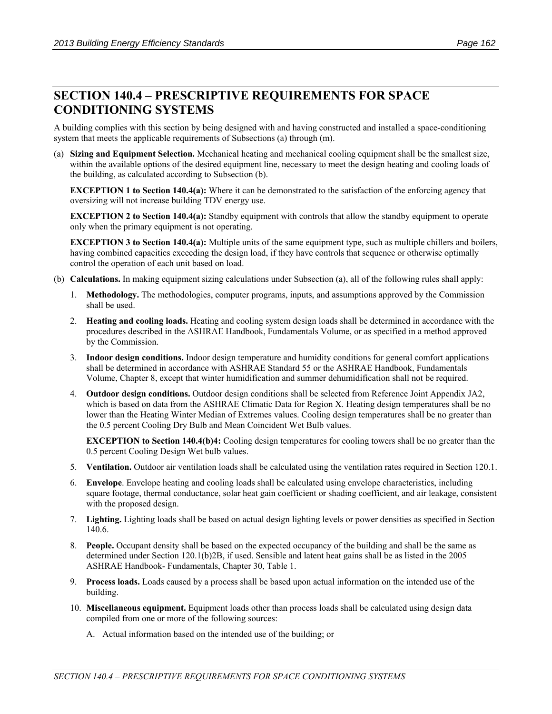# **SECTION 140.4 – PRESCRIPTIVE REQUIREMENTS FOR SPACE CONDITIONING SYSTEMS**

A building complies with this section by being designed with and having constructed and installed a space-conditioning system that meets the applicable requirements of Subsections (a) through (m).

(a) **Sizing and Equipment Selection.** Mechanical heating and mechanical cooling equipment shall be the smallest size, within the available options of the desired equipment line, necessary to meet the design heating and cooling loads of the building, as calculated according to Subsection (b).

**EXCEPTION 1 to Section 140.4(a):** Where it can be demonstrated to the satisfaction of the enforcing agency that oversizing will not increase building TDV energy use.

**EXCEPTION 2 to Section 140.4(a):** Standby equipment with controls that allow the standby equipment to operate only when the primary equipment is not operating.

**EXCEPTION 3 to Section 140.4(a):** Multiple units of the same equipment type, such as multiple chillers and boilers, having combined capacities exceeding the design load, if they have controls that sequence or otherwise optimally control the operation of each unit based on load.

- (b) **Calculations.** In making equipment sizing calculations under Subsection (a), all of the following rules shall apply:
	- 1. **Methodology.** The methodologies, computer programs, inputs, and assumptions approved by the Commission shall be used.
	- 2. **Heating and cooling loads.** Heating and cooling system design loads shall be determined in accordance with the procedures described in the ASHRAE Handbook, Fundamentals Volume, or as specified in a method approved by the Commission.
	- 3. **Indoor design conditions.** Indoor design temperature and humidity conditions for general comfort applications shall be determined in accordance with ASHRAE Standard 55 or the ASHRAE Handbook, Fundamentals Volume, Chapter 8, except that winter humidification and summer dehumidification shall not be required.
	- 4. **Outdoor design conditions.** Outdoor design conditions shall be selected from Reference Joint Appendix JA2, which is based on data from the ASHRAE Climatic Data for Region X. Heating design temperatures shall be no lower than the Heating Winter Median of Extremes values. Cooling design temperatures shall be no greater than the 0.5 percent Cooling Dry Bulb and Mean Coincident Wet Bulb values.

**EXCEPTION to Section 140.4(b)4:** Cooling design temperatures for cooling towers shall be no greater than the 0.5 percent Cooling Design Wet bulb values.

- 5. **Ventilation.** Outdoor air ventilation loads shall be calculated using the ventilation rates required in Section 120.1.
- 6. **Envelope**. Envelope heating and cooling loads shall be calculated using envelope characteristics, including square footage, thermal conductance, solar heat gain coefficient or shading coefficient, and air leakage, consistent with the proposed design.
- 7. **Lighting.** Lighting loads shall be based on actual design lighting levels or power densities as specified in Section 140.6.
- 8. **People.** Occupant density shall be based on the expected occupancy of the building and shall be the same as determined under Section 120.1(b)2B, if used. Sensible and latent heat gains shall be as listed in the 2005 ASHRAE Handbook- Fundamentals, Chapter 30, Table 1.
- 9. **Process loads.** Loads caused by a process shall be based upon actual information on the intended use of the building.
- 10. **Miscellaneous equipment.** Equipment loads other than process loads shall be calculated using design data compiled from one or more of the following sources:
	- A. Actual information based on the intended use of the building; or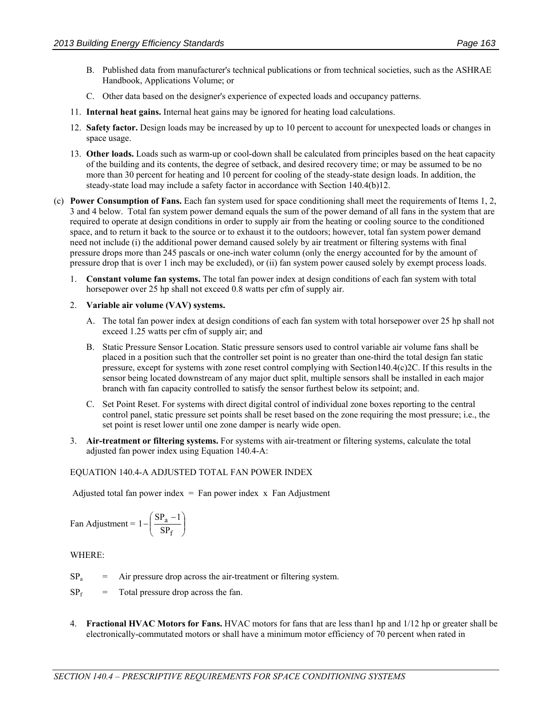- B. Published data from manufacturer's technical publications or from technical societies, such as the ASHRAE Handbook, Applications Volume; or
- C. Other data based on the designer's experience of expected loads and occupancy patterns.
- 11. **Internal heat gains.** Internal heat gains may be ignored for heating load calculations.
- 12. **Safety factor.** Design loads may be increased by up to 10 percent to account for unexpected loads or changes in space usage.
- 13. **Other loads.** Loads such as warm-up or cool-down shall be calculated from principles based on the heat capacity of the building and its contents, the degree of setback, and desired recovery time; or may be assumed to be no more than 30 percent for heating and 10 percent for cooling of the steady-state design loads. In addition, the steady-state load may include a safety factor in accordance with Section 140.4(b)12.
- (c) **Power Consumption of Fans.** Each fan system used for space conditioning shall meet the requirements of Items 1, 2, 3 and 4 below. Total fan system power demand equals the sum of the power demand of all fans in the system that are required to operate at design conditions in order to supply air from the heating or cooling source to the conditioned space, and to return it back to the source or to exhaust it to the outdoors; however, total fan system power demand need not include (i) the additional power demand caused solely by air treatment or filtering systems with final pressure drops more than 245 pascals or one-inch water column (only the energy accounted for by the amount of pressure drop that is over 1 inch may be excluded), or (ii) fan system power caused solely by exempt process loads.
	- 1. **Constant volume fan systems.** The total fan power index at design conditions of each fan system with total horsepower over 25 hp shall not exceed 0.8 watts per cfm of supply air.

## 2. **Variable air volume (VAV) systems.**

- A. The total fan power index at design conditions of each fan system with total horsepower over 25 hp shall not exceed 1.25 watts per cfm of supply air; and
- B. Static Pressure Sensor Location. Static pressure sensors used to control variable air volume fans shall be placed in a position such that the controller set point is no greater than one-third the total design fan static pressure, except for systems with zone reset control complying with Section140.4(c)2C. If this results in the sensor being located downstream of any major duct split, multiple sensors shall be installed in each major branch with fan capacity controlled to satisfy the sensor furthest below its setpoint; and.
- C. Set Point Reset. For systems with direct digital control of individual zone boxes reporting to the central control panel, static pressure set points shall be reset based on the zone requiring the most pressure; i.e., the set point is reset lower until one zone damper is nearly wide open.
- 3. **Air-treatment or filtering systems.** For systems with air-treatment or filtering systems, calculate the total adjusted fan power index using [Equation 140.4-A:](#page-1-0)

#### <span id="page-1-0"></span>EQUATION 140.4-A ADJUSTED TOTAL FAN POWER INDEX

Adjusted total fan power index  $=$  Fan power index x Fan Adjustment

$$
Fan \,\, Adjustment = 1 - \left(\frac{SP_a - 1}{SP_f}\right)
$$

WHERE:

- $SP_a$  = Air pressure drop across the air-treatment or filtering system.
- $SP<sub>f</sub>$  = Total pressure drop across the fan.
- 4. **Fractional HVAC Motors for Fans.** HVAC motors for fans that are less than1 hp and 1/12 hp or greater shall be electronically-commutated motors or shall have a minimum motor efficiency of 70 percent when rated in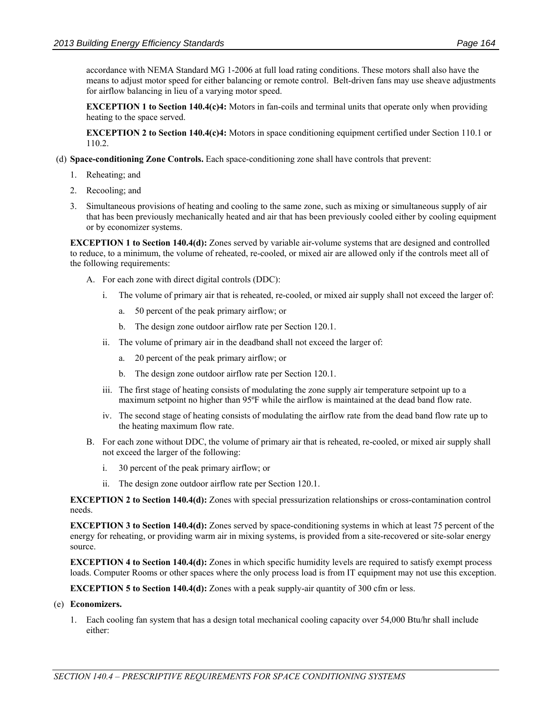accordance with NEMA Standard MG 1-2006 at full load rating conditions. These motors shall also have the means to adjust motor speed for either balancing or remote control. Belt-driven fans may use sheave adjustments for airflow balancing in lieu of a varying motor speed.

**EXCEPTION 1 to Section 140.4(c)4:** Motors in fan-coils and terminal units that operate only when providing heating to the space served.

**EXCEPTION 2 to Section 140.4(c)4:** Motors in space conditioning equipment certified under Section 110.1 or 110.2.

- (d) **Space-conditioning Zone Controls.** Each space-conditioning zone shall have controls that prevent:
	- 1. Reheating; and
	- 2. Recooling; and
	- 3. Simultaneous provisions of heating and cooling to the same zone, such as mixing or simultaneous supply of air that has been previously mechanically heated and air that has been previously cooled either by cooling equipment or by economizer systems.

**EXCEPTION 1 to Section 140.4(d):** Zones served by variable air-volume systems that are designed and controlled to reduce, to a minimum, the volume of reheated, re-cooled, or mixed air are allowed only if the controls meet all of the following requirements:

- A. For each zone with direct digital controls (DDC):
	- i. The volume of primary air that is reheated, re-cooled, or mixed air supply shall not exceed the larger of:
		- a. 50 percent of the peak primary airflow; or
		- b. The design zone outdoor airflow rate per Section 120.1.
	- ii. The volume of primary air in the deadband shall not exceed the larger of:
		- a. 20 percent of the peak primary airflow; or
		- b. The design zone outdoor airflow rate per Section 120.1.
	- iii. The first stage of heating consists of modulating the zone supply air temperature setpoint up to a maximum setpoint no higher than 95ºF while the airflow is maintained at the dead band flow rate.
	- iv. The second stage of heating consists of modulating the airflow rate from the dead band flow rate up to the heating maximum flow rate.
- B. For each zone without DDC, the volume of primary air that is reheated, re-cooled, or mixed air supply shall not exceed the larger of the following:
	- i. 30 percent of the peak primary airflow; or
	- ii. The design zone outdoor airflow rate per Section 120.1.

**EXCEPTION 2 to Section 140.4(d):** Zones with special pressurization relationships or cross-contamination control needs.

**EXCEPTION 3 to Section 140.4(d):** Zones served by space-conditioning systems in which at least 75 percent of the energy for reheating, or providing warm air in mixing systems, is provided from a site-recovered or site-solar energy source.

**EXCEPTION 4 to Section 140.4(d):** Zones in which specific humidity levels are required to satisfy exempt process loads. Computer Rooms or other spaces where the only process load is from IT equipment may not use this exception.

**EXCEPTION 5 to Section 140.4(d):** Zones with a peak supply-air quantity of 300 cfm or less.

#### (e) **Economizers.**

1. Each cooling fan system that has a design total mechanical cooling capacity over 54,000 Btu/hr shall include either: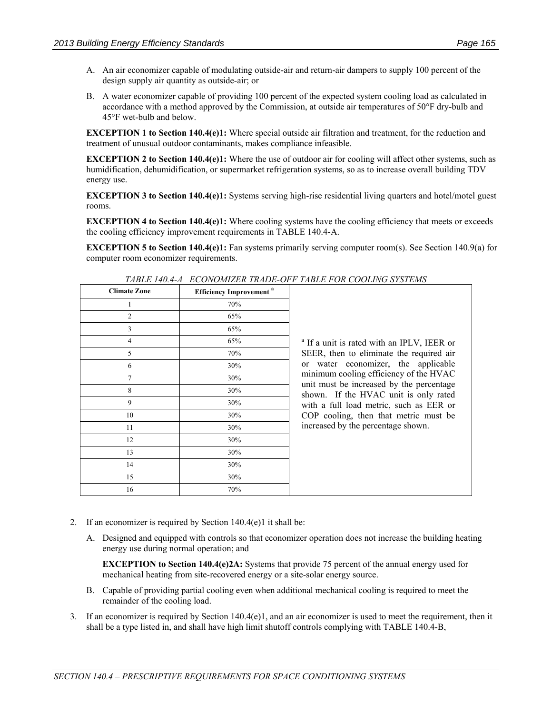- A. An air economizer capable of modulating outside-air and return-air dampers to supply 100 percent of the design supply air quantity as outside-air; or
- B. A water economizer capable of providing 100 percent of the expected system cooling load as calculated in accordance with a method approved by the Commission, at outside air temperatures of 50°F dry-bulb and 45°F wet-bulb and below.

**EXCEPTION 1 to Section 140.4(e)1:** Where special outside air filtration and treatment, for the reduction and treatment of unusual outdoor contaminants, makes compliance infeasible.

**EXCEPTION 2 to Section 140.4(e)1:** Where the use of outdoor air for cooling will affect other systems, such as humidification, dehumidification, or supermarket refrigeration systems, so as to increase overall building TDV energy use.

**EXCEPTION 3 to Section 140.4(e)1:** Systems serving high-rise residential living quarters and hotel/motel guest rooms.

**EXCEPTION 4 to Section 140.4(e)1:** Where cooling systems have the cooling efficiency that meets or exceeds the cooling efficiency improvement requirements in TABLE 140.4-A.

**EXCEPTION 5 to Section 140.4(e)1:** Fan systems primarily serving computer room(s). See Section 140.9(a) for computer room economizer requirements.

| 111DLD 1 1 0.1 11   | BCONOMIEDI HUIDD OI I                     | ,,,,,,,,            |
|---------------------|-------------------------------------------|---------------------|
| <b>Climate Zone</b> | <b>Efficiency Improvement<sup>a</sup></b> |                     |
| 1                   | 70%                                       |                     |
| $\overline{2}$      | 65%                                       |                     |
| $\overline{3}$      | 65%                                       |                     |
| 4                   | 65%                                       | <sup>a</sup> If a u |
| 5                   | 70%                                       | SEER,               |
| 6                   | 30%                                       | Wδ<br>or            |
| 7                   | 30%                                       | minim               |
| 8                   | 30%                                       | unit m<br>shown.    |
| 9                   | 30%                                       | with a              |
| 10                  | 30%                                       | $COP$ c             |
| 11                  | 30%                                       | increas             |
| 12                  | 30%                                       |                     |
| 13                  | 30%                                       |                     |
| 14                  | 30%                                       |                     |
| 15                  | 30%                                       |                     |
| 16                  | 70%                                       |                     |

*TABLE 140.4-A ECONOMIZER TRADE-OFF TABLE FOR COOLING SYSTEMS* 

Init is rated with an IPLV, IEER or then to eliminate the required air ter economizer, the applicable am cooling efficiency of the HVAC ust be increased by the percentage If the HVAC unit is only rated full load metric, such as EER or cooling, then that metric must be ed by the percentage shown.

- 2. If an economizer is required by Section 140.4(e)1 it shall be:
	- A. Designed and equipped with controls so that economizer operation does not increase the building heating energy use during normal operation; and

**EXCEPTION to Section 140.4(e)2A:** Systems that provide 75 percent of the annual energy used for mechanical heating from site-recovered energy or a site-solar energy source.

- B. Capable of providing partial cooling even when additional mechanical cooling is required to meet the remainder of the cooling load.
- 3. If an economizer is required by Section  $140.4(e)1$ , and an air economizer is used to meet the requirement, then it shall be a type listed in, and shall have high limit shutoff controls complying with TABLE 140.4-B,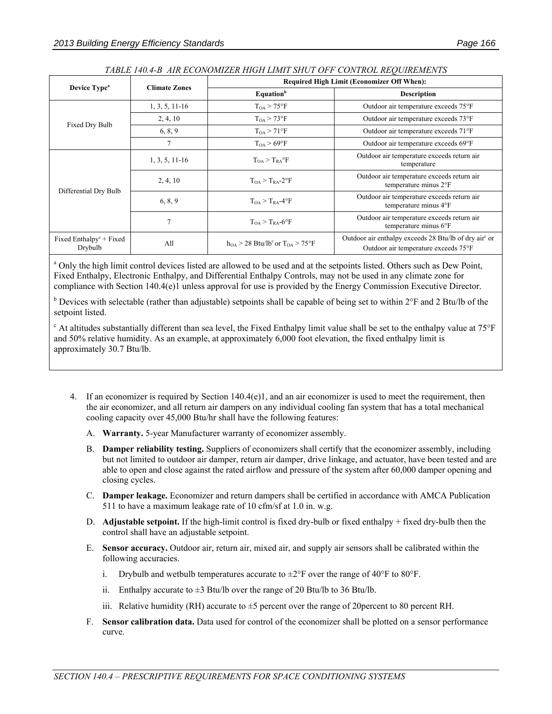| Device Type <sup>a</sup>                                    |                      | <b>Required High Limit (Economizer Off When):</b>           |                                                                                                           |  |
|-------------------------------------------------------------|----------------------|-------------------------------------------------------------|-----------------------------------------------------------------------------------------------------------|--|
|                                                             | <b>Climate Zones</b> | <b>Equation</b> <sup>b</sup>                                | <b>Description</b>                                                                                        |  |
| Fixed Dry Bulb                                              | $1, 3, 5, 11-16$     | $T_{OA}$ > 75°F                                             | Outdoor air temperature exceeds 75°F                                                                      |  |
|                                                             | 2, 4, 10             | $T_{OA}$ > 73°F                                             | Outdoor air temperature exceeds 73°F                                                                      |  |
|                                                             | 6, 8, 9              | $T_{OA}$ > 71°F                                             | Outdoor air temperature exceeds 71°F                                                                      |  |
|                                                             | 7                    | $T_{OA}$ > 69°F                                             | Outdoor air temperature exceeds 69°F                                                                      |  |
| Differential Dry Bulb                                       | $1, 3, 5, 11-16$     | $T_{OA} > T_{RA}^{\circ}F$                                  | Outdoor air temperature exceeds return air<br>temperature                                                 |  |
|                                                             | 2, 4, 10             | $T_{OA} > T_{RA} - 2$ <sup>o</sup> F                        | Outdoor air temperature exceeds return air<br>temperature minus 2°F                                       |  |
|                                                             | 6, 8, 9              | $T_{OA}$ > $T_{BA}$ -4°F                                    | Outdoor air temperature exceeds return air<br>temperature minus 4°F                                       |  |
|                                                             | 7                    | $T_{OA}$ > $T_{RA}$ -6°F                                    | Outdoor air temperature exceeds return air<br>temperature minus $6^{\circ}$ F                             |  |
| Fixed Enthalpy <sup><math>c</math></sup> + Fixed<br>Drybulb | All                  | $h_{OA}$ > 28 Btu/lb <sup>c</sup> or T <sub>OA</sub> > 75°F | Outdoor air enthalpy exceeds 28 Btu/lb of dry air <sup>c</sup> or<br>Outdoor air temperature exceeds 75°F |  |

### *TABLE 140.4-B AIR ECONOMIZER HIGH LIMIT SHUT OFF CONTROL REQUIREMENTS*

<sup>a</sup> Only the high limit control devices listed are allowed to be used and at the setpoints listed. Others such as Dew Point, Fixed Enthalpy, Electronic Enthalpy, and Differential Enthalpy Controls, may not be used in any climate zone for compliance with Section 140.4(e)1 unless approval for use is provided by the Energy Commission Executive Director.

<sup>b</sup> Devices with selectable (rather than adjustable) setpoints shall be capable of being set to within  $2^{\circ}F$  and 2 Btu/lb of the setpoint listed.

<sup>c</sup> At altitudes substantially different than sea level, the Fixed Enthalpy limit value shall be set to the enthalpy value at 75°F and 50% relative humidity. As an example, at approximately 6,000 foot elevation, the fixed enthalpy limit is approximately 30.7 Btu/lb.

- 4. If an economizer is required by Section 140.4(e)1, and an air economizer is used to meet the requirement, then the air economizer, and all return air dampers on any individual cooling fan system that has a total mechanical cooling capacity over 45,000 Btu/hr shall have the following features:
	- A. **Warranty.** 5-year Manufacturer warranty of economizer assembly.
	- B. **Damper reliability testing.** Suppliers of economizers shall certify that the economizer assembly, including but not limited to outdoor air damper, return air damper, drive linkage, and actuator, have been tested and are able to open and close against the rated airflow and pressure of the system after 60,000 damper opening and closing cycles.
	- C. **Damper leakage.** Economizer and return dampers shall be certified in accordance with AMCA Publication 511 to have a maximum leakage rate of 10 cfm/sf at 1.0 in. w.g.
	- D. **Adjustable setpoint.** If the high-limit control is fixed dry-bulb or fixed enthalpy + fixed dry-bulb then the control shall have an adjustable setpoint.
	- E. **Sensor accuracy.** Outdoor air, return air, mixed air, and supply air sensors shall be calibrated within the following accuracies.
		- i. Drybulb and wetbulb temperatures accurate to  $\pm 2^{\circ}$ F over the range of 40°F to 80°F.
		- ii. Enthalpy accurate to  $\pm 3$  Btu/lb over the range of 20 Btu/lb to 36 Btu/lb.
		- iii. Relative humidity (RH) accurate to  $\pm 5$  percent over the range of 20 percent to 80 percent RH.
	- F. **Sensor calibration data.** Data used for control of the economizer shall be plotted on a sensor performance curve.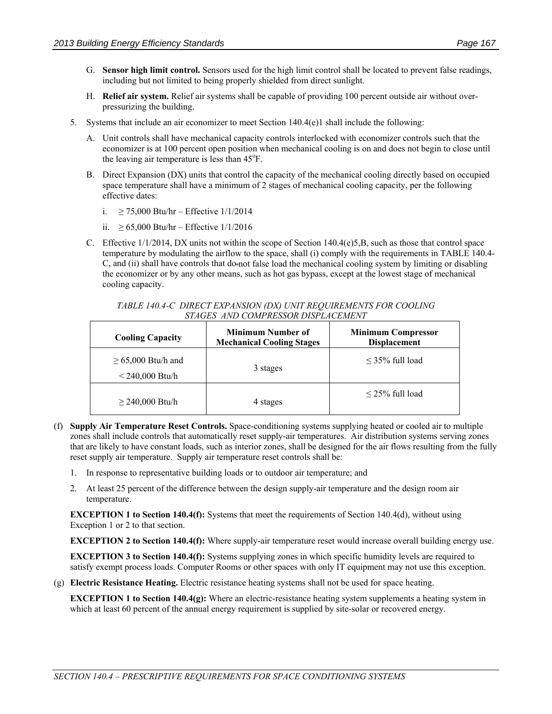- G. **Sensor high limit control.** Sensors used for the high limit control shall be located to prevent false readings, including but not limited to being properly shielded from direct sunlight.
- H. **Relief air system.** Relief air systems shall be capable of providing 100 percent outside air without overpressurizing the building.
- 5. Systems that include an air economizer to meet Section  $140.4(e)1$  shall include the following:
	- A. Unit controls shall have mechanical capacity controls interlocked with economizer controls such that the economizer is at 100 percent open position when mechanical cooling is on and does not begin to close until the leaving air temperature is less than 45°F.
	- B. Direct Expansion (DX) units that control the capacity of the mechanical cooling directly based on occupied space temperature shall have a minimum of 2 stages of mechanical cooling capacity, per the following effective dates:
		- i. ≥ 75,000 Btu/hr Effective 1/1/2014
		- ii. ≥ 65,000 Btu/hr Effective 1/1/2016
	- C. Effective 1/1/2014, DX units not within the scope of Section 140.4(e)5,B, such as those that control space temperature by modulating the airflow to the space, shall (i) comply with the requirements in TABLE 140.4- C, and (ii) shall have controls that do-not false load the mechanical cooling system by limiting or disabling the economizer or by any other means, such as hot gas bypass, except at the lowest stage of mechanical cooling capacity.

| TABLE 140.4-C DIRECT EXPANSION (DX) UNIT REQUIREMENTS FOR COOLING |  |
|-------------------------------------------------------------------|--|
| STAGES AND COMPRESSOR DISPLACEMENT                                |  |

| <b>Cooling Capacity</b>                      | <b>Minimum Number of</b><br><b>Mechanical Cooling Stages</b> | <b>Minimum Compressor</b><br><b>Displacement</b> |
|----------------------------------------------|--------------------------------------------------------------|--------------------------------------------------|
| $\geq 65,000$ Btu/h and<br>$< 240,000$ Btu/h | 3 stages                                                     | $\leq$ 35% full load                             |
| $\geq$ 240,000 Btu/h                         | 4 stages                                                     | $\leq$ 25% full load                             |

- (f) **Supply Air Temperature Reset Controls.** Space-conditioning systems supplying heated or cooled air to multiple zones shall include controls that automatically reset supply-air temperatures. Air distribution systems serving zones that are likely to have constant loads, such as interior zones, shall be designed for the air flows resulting from the fully reset supply air temperature. Supply air temperature reset controls shall be:
	- 1. In response to representative building loads or to outdoor air temperature; and
	- 2. At least 25 percent of the difference between the design supply-air temperature and the design room air temperature.

**EXCEPTION 1 to Section 140.4(f):** Systems that meet the requirements of Section 140.4(d), without using Exception 1 or 2 to that section.

**EXCEPTION 2 to Section 140.4(f):** Where supply-air temperature reset would increase overall building energy use.

**EXCEPTION 3 to Section 140.4(f):** Systems supplying zones in which specific humidity levels are required to satisfy exempt process loads. Computer Rooms or other spaces with only IT equipment may not use this exception.

(g) **Electric Resistance Heating.** Electric resistance heating systems shall not be used for space heating.

**EXCEPTION 1 to Section 140.4(g):** Where an electric-resistance heating system supplements a heating system in which at least 60 percent of the annual energy requirement is supplied by site-solar or recovered energy.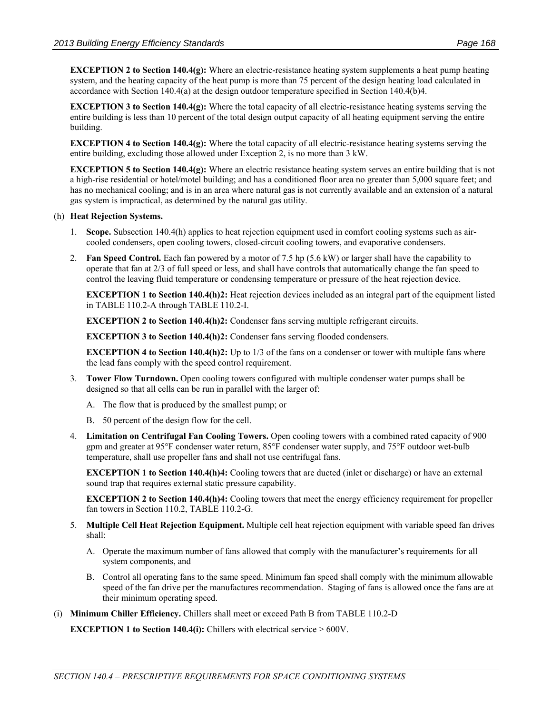**EXCEPTION 2 to Section 140.4(g):** Where an electric-resistance heating system supplements a heat pump heating system, and the heating capacity of the heat pump is more than 75 percent of the design heating load calculated in accordance with Section 140.4(a) at the design outdoor temperature specified in Section 140.4(b)4.

**EXCEPTION 3 to Section 140.4(g):** Where the total capacity of all electric-resistance heating systems serving the entire building is less than 10 percent of the total design output capacity of all heating equipment serving the entire building.

**EXCEPTION 4 to Section 140.4(g):** Where the total capacity of all electric-resistance heating systems serving the entire building, excluding those allowed under Exception 2, is no more than 3 kW.

**EXCEPTION 5 to Section 140.4(g):** Where an electric resistance heating system serves an entire building that is not a high-rise residential or hotel/motel building; and has a conditioned floor area no greater than 5,000 square feet; and has no mechanical cooling; and is in an area where natural gas is not currently available and an extension of a natural gas system is impractical, as determined by the natural gas utility.

#### (h) **Heat Rejection Systems.**

- 1. **Scope.** Subsection 140.4(h) applies to heat rejection equipment used in comfort cooling systems such as aircooled condensers, open cooling towers, closed-circuit cooling towers, and evaporative condensers.
- 2. **Fan Speed Control.** Each fan powered by a motor of 7.5 hp (5.6 kW) or larger shall have the capability to operate that fan at 2/3 of full speed or less, and shall have controls that automatically change the fan speed to control the leaving fluid temperature or condensing temperature or pressure of the heat rejection device.

**EXCEPTION 1 to Section 140.4(h)2:** Heat rejection devices included as an integral part of the equipment listed in TABLE 110.2-A through TABLE 110.2-I.

**EXCEPTION 2 to Section 140.4(h)2:** Condenser fans serving multiple refrigerant circuits.

**EXCEPTION 3 to Section 140.4(h)2:** Condenser fans serving flooded condensers.

**EXCEPTION 4 to Section 140.4(h)2:** Up to 1/3 of the fans on a condenser or tower with multiple fans where the lead fans comply with the speed control requirement.

- 3. **Tower Flow Turndown.** Open cooling towers configured with multiple condenser water pumps shall be designed so that all cells can be run in parallel with the larger of:
	- A. The flow that is produced by the smallest pump; or
	- B. 50 percent of the design flow for the cell.
- 4. **Limitation on Centrifugal Fan Cooling Towers.** Open cooling towers with a combined rated capacity of 900 gpm and greater at 95°F condenser water return, 85°F condenser water supply, and 75°F outdoor wet-bulb temperature, shall use propeller fans and shall not use centrifugal fans.

**EXCEPTION 1 to Section 140.4(h)4:** Cooling towers that are ducted (inlet or discharge) or have an external sound trap that requires external static pressure capability.

**EXCEPTION 2 to Section 140.4(h)4:** Cooling towers that meet the energy efficiency requirement for propeller fan towers in Section 110.2, TABLE 110.2-G.

- 5. **Multiple Cell Heat Rejection Equipment.** Multiple cell heat rejection equipment with variable speed fan drives shall:
	- A. Operate the maximum number of fans allowed that comply with the manufacturer's requirements for all system components, and
	- B. Control all operating fans to the same speed. Minimum fan speed shall comply with the minimum allowable speed of the fan drive per the manufactures recommendation. Staging of fans is allowed once the fans are at their minimum operating speed.
- (i) **Minimum Chiller Efficiency.** Chillers shall meet or exceed Path B from TABLE 110.2-D

**EXCEPTION 1 to Section 140.4(i):** Chillers with electrical service > 600V.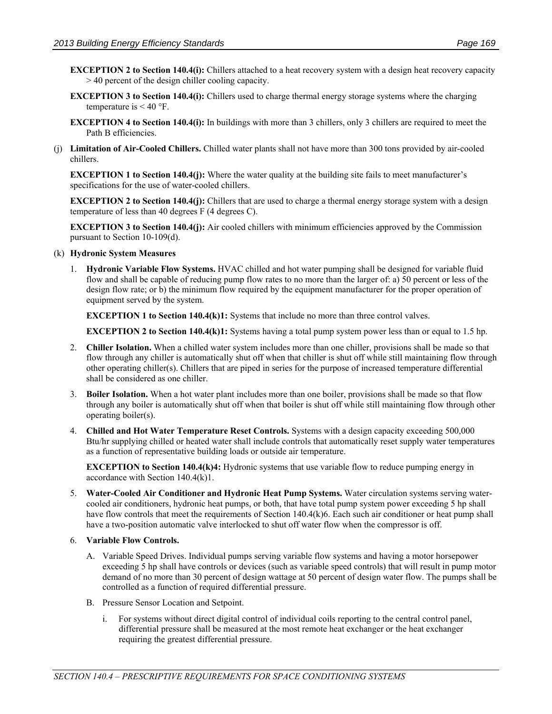- **EXCEPTION 2 to Section 140.4(i):** Chillers attached to a heat recovery system with a design heat recovery capacity > 40 percent of the design chiller cooling capacity.
- **EXCEPTION 3 to Section 140.4(i):** Chillers used to charge thermal energy storage systems where the charging temperature is  $< 40$  °F.
- **EXCEPTION 4 to Section 140.4(i):** In buildings with more than 3 chillers, only 3 chillers are required to meet the Path B efficiencies.
- (j) **Limitation of Air-Cooled Chillers.** Chilled water plants shall not have more than 300 tons provided by air-cooled chillers.

**EXCEPTION 1 to Section 140.4(j):** Where the water quality at the building site fails to meet manufacturer's specifications for the use of water-cooled chillers.

**EXCEPTION 2 to Section 140.4(j):** Chillers that are used to charge a thermal energy storage system with a design temperature of less than 40 degrees F (4 degrees C).

**EXCEPTION 3 to Section 140.4(j):** Air cooled chillers with minimum efficiencies approved by the Commission pursuant to Section 10-109(d).

#### (k) **Hydronic System Measures**

1. **Hydronic Variable Flow Systems.** HVAC chilled and hot water pumping shall be designed for variable fluid flow and shall be capable of reducing pump flow rates to no more than the larger of: a) 50 percent or less of the design flow rate; or b) the minimum flow required by the equipment manufacturer for the proper operation of equipment served by the system.

**EXCEPTION 1 to Section 140.4(k)1:** Systems that include no more than three control valves.

**EXCEPTION 2 to Section 140.4(k)1:** Systems having a total pump system power less than or equal to 1.5 hp.

- 2. **Chiller Isolation.** When a chilled water system includes more than one chiller, provisions shall be made so that flow through any chiller is automatically shut off when that chiller is shut off while still maintaining flow through other operating chiller(s). Chillers that are piped in series for the purpose of increased temperature differential shall be considered as one chiller.
- 3. **Boiler Isolation.** When a hot water plant includes more than one boiler, provisions shall be made so that flow through any boiler is automatically shut off when that boiler is shut off while still maintaining flow through other operating boiler(s).
- 4. **Chilled and Hot Water Temperature Reset Controls.** Systems with a design capacity exceeding 500,000 Btu/hr supplying chilled or heated water shall include controls that automatically reset supply water temperatures as a function of representative building loads or outside air temperature.

**EXCEPTION to Section 140.4(k)4:** Hydronic systems that use variable flow to reduce pumping energy in accordance with Section 140.4(k)1.

5. **Water-Cooled Air Conditioner and Hydronic Heat Pump Systems.** Water circulation systems serving watercooled air conditioners, hydronic heat pumps, or both, that have total pump system power exceeding 5 hp shall have flow controls that meet the requirements of Section 140.4(k)6. Each such air conditioner or heat pump shall have a two-position automatic valve interlocked to shut off water flow when the compressor is off.

#### 6. **Variable Flow Controls.**

- A. Variable Speed Drives. Individual pumps serving variable flow systems and having a motor horsepower exceeding 5 hp shall have controls or devices (such as variable speed controls) that will result in pump motor demand of no more than 30 percent of design wattage at 50 percent of design water flow. The pumps shall be controlled as a function of required differential pressure.
- B. Pressure Sensor Location and Setpoint.
	- i. For systems without direct digital control of individual coils reporting to the central control panel, differential pressure shall be measured at the most remote heat exchanger or the heat exchanger requiring the greatest differential pressure.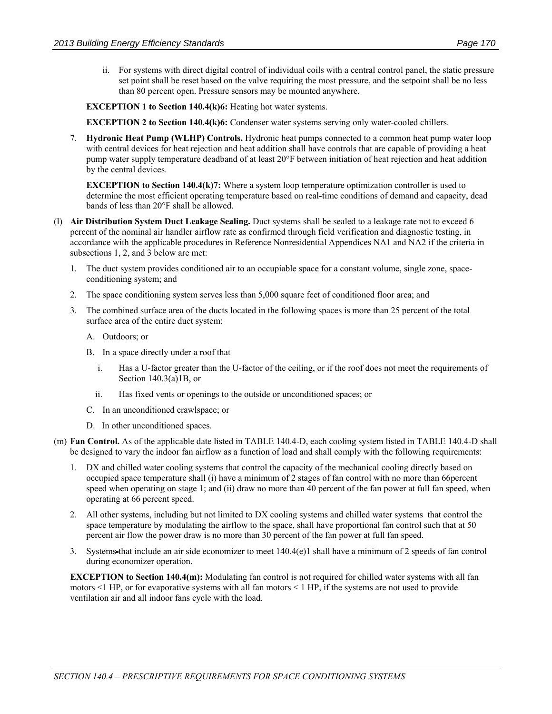ii. For systems with direct digital control of individual coils with a central control panel, the static pressure set point shall be reset based on the valve requiring the most pressure, and the setpoint shall be no less than 80 percent open. Pressure sensors may be mounted anywhere.

**EXCEPTION 1 to Section 140.4(k)6:** Heating hot water systems.

**EXCEPTION 2 to Section 140.4(k)6:** Condenser water systems serving only water-cooled chillers.

7. **Hydronic Heat Pump (WLHP) Controls.** Hydronic heat pumps connected to a common heat pump water loop with central devices for heat rejection and heat addition shall have controls that are capable of providing a heat pump water supply temperature deadband of at least 20°F between initiation of heat rejection and heat addition by the central devices.

**EXCEPTION to Section 140.4(k)7:** Where a system loop temperature optimization controller is used to determine the most efficient operating temperature based on real-time conditions of demand and capacity, dead bands of less than 20°F shall be allowed.

- (l) **Air Distribution System Duct Leakage Sealing.** Duct systems shall be sealed to a leakage rate not to exceed 6 percent of the nominal air handler airflow rate as confirmed through field verification and diagnostic testing, in accordance with the applicable procedures in Reference Nonresidential Appendices NA1 and NA2 if the criteria in subsections 1, 2, and 3 below are met:
	- 1. The duct system provides conditioned air to an occupiable space for a constant volume, single zone, spaceconditioning system; and
	- 2. The space conditioning system serves less than 5,000 square feet of conditioned floor area; and
	- 3. The combined surface area of the ducts located in the following spaces is more than 25 percent of the total surface area of the entire duct system:
		- A. Outdoors; or
		- B. In a space directly under a roof that
			- i. Has a U-factor greater than the U-factor of the ceiling, or if the roof does not meet the requirements of Section 140.3(a)1B, or
			- ii. Has fixed vents or openings to the outside or unconditioned spaces; or
		- C. In an unconditioned crawlspace; or
		- D. In other unconditioned spaces.
- (m) **Fan Control.** As of the applicable date listed in TABLE 140.4-D, each cooling system listed in TABLE 140.4-D shall be designed to vary the indoor fan airflow as a function of load and shall comply with the following requirements:
	- 1. DX and chilled water cooling systems that control the capacity of the mechanical cooling directly based on occupied space temperature shall (i) have a minimum of 2 stages of fan control with no more than 66percent speed when operating on stage 1; and (ii) draw no more than 40 percent of the fan power at full fan speed, when operating at 66 percent speed.
	- 2. All other systems, including but not limited to DX cooling systems and chilled water systems that control the space temperature by modulating the airflow to the space, shall have proportional fan control such that at 50 percent air flow the power draw is no more than 30 percent of the fan power at full fan speed.
	- 3. Systems that include an air side economizer to meet 140.4(e)1 shall have a minimum of 2 speeds of fan control during economizer operation.

**EXCEPTION to Section 140.4(m):** Modulating fan control is not required for chilled water systems with all fan motors <1 HP, or for evaporative systems with all fan motors < 1 HP, if the systems are not used to provide ventilation air and all indoor fans cycle with the load.